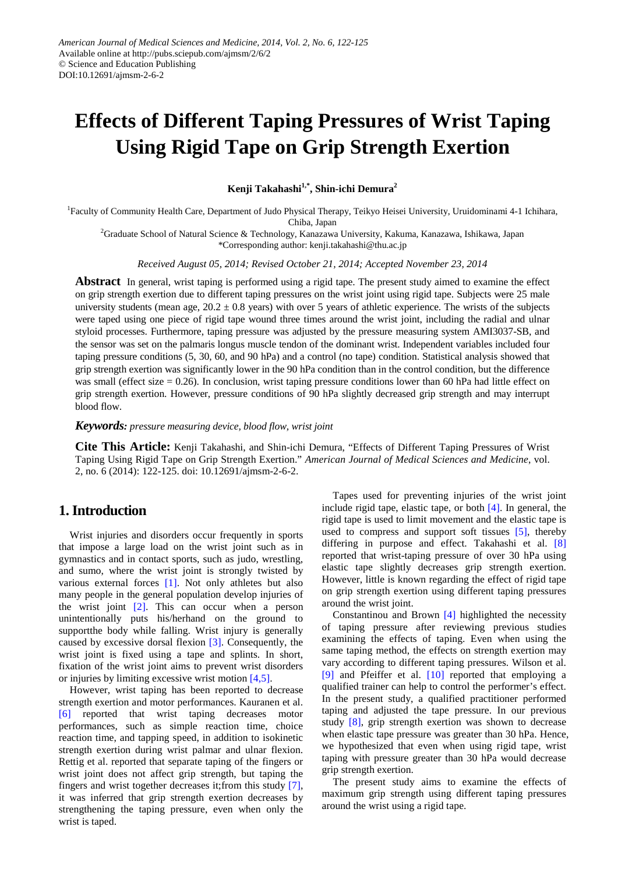# **Effects of Different Taping Pressures of Wrist Taping Using Rigid Tape on Grip Strength Exertion**

**Kenji Takahashi1,\*, Shin-ichi Demura2**

<sup>1</sup>Faculty of Community Health Care, Department of Judo Physical Therapy, Teikyo Heisei University, Uruidominami 4-1 Ichihara,

Chiba, Japan 2 Graduate School of Natural Science & Technology, Kanazawa University, Kakuma, Kanazawa, Ishikawa, Japan

\*Corresponding author: kenji.takahashi@thu.ac.jp

*Received August 05, 2014; Revised October 21, 2014; Accepted November 23, 2014*

**Abstract** In general, wrist taping is performed using a rigid tape. The present study aimed to examine the effect on grip strength exertion due to different taping pressures on the wrist joint using rigid tape. Subjects were 25 male university students (mean age,  $20.2 \pm 0.8$  years) with over 5 years of athletic experience. The wrists of the subjects were taped using one piece of rigid tape wound three times around the wrist joint, including the radial and ulnar styloid processes. Furthermore, taping pressure was adjusted by the pressure measuring system AMI3037-SB, and the sensor was set on the palmaris longus muscle tendon of the dominant wrist. Independent variables included four taping pressure conditions (5, 30, 60, and 90 hPa) and a control (no tape) condition. Statistical analysis showed that grip strength exertion was significantly lower in the 90 hPa condition than in the control condition, but the difference was small (effect size  $= 0.26$ ). In conclusion, wrist taping pressure conditions lower than 60 hPa had little effect on grip strength exertion. However, pressure conditions of 90 hPa slightly decreased grip strength and may interrupt blood flow.

*Keywords: pressure measuring device, blood flow, wrist joint*

**Cite This Article:** Kenji Takahashi, and Shin-ichi Demura, "Effects of Different Taping Pressures of Wrist Taping Using Rigid Tape on Grip Strength Exertion." *American Journal of Medical Sciences and Medicine*, vol. 2, no. 6 (2014): 122-125. doi: 10.12691/ajmsm-2-6-2.

# **1. Introduction**

Wrist injuries and disorders occur frequently in sports that impose a large load on the wrist joint such as in gymnastics and in contact sports, such as judo, wrestling, and sumo, where the wrist joint is strongly twisted by various external forces [\[1\].](#page-3-0) Not only athletes but also many people in the general population develop injuries of the wrist joint [\[2\].](#page-3-1) This can occur when a person unintentionally puts his/herhand on the ground to supportthe body while falling. Wrist injury is generally caused by excessive dorsal flexion [\[3\].](#page-3-2) Consequently, the wrist joint is fixed using a tape and splints. In short, fixation of the wrist joint aims to prevent wrist disorders or injuries by limiting excessive wrist motion [\[4,5\].](#page-3-3)

However, wrist taping has been reported to decrease strength exertion and motor performances. Kauranen et al. [\[6\]](#page-3-4) reported that wrist taping decreases motor performances, such as simple reaction time, choice reaction time, and tapping speed, in addition to isokinetic strength exertion during wrist palmar and ulnar flexion. Rettig et al. reported that separate taping of the fingers or wrist joint does not affect grip strength, but taping the fingers and wrist together decreases it;from this study [\[7\],](#page-3-5) it was inferred that grip strength exertion decreases by strengthening the taping pressure, even when only the wrist is taped.

Tapes used for preventing injuries of the wrist joint include rigid tape, elastic tape, or both [\[4\].](#page-3-3) In general, the rigid tape is used to limit movement and the elastic tape is used to compress and support soft tissues [\[5\],](#page-3-6) thereby differing in purpose and effect. Takahashi et al. [\[8\]](#page-3-7) reported that wrist-taping pressure of over 30 hPa using elastic tape slightly decreases grip strength exertion. However, little is known regarding the effect of rigid tape on grip strength exertion using different taping pressures around the wrist joint.

Constantinou and Brown [\[4\]](#page-3-3) highlighted the necessity of taping pressure after reviewing previous studies examining the effects of taping. Even when using the same taping method, the effects on strength exertion may vary according to different taping pressures. Wilson et al. [\[9\]](#page-3-8) and Pfeiffer et al. [\[10\]](#page-3-9) reported that employing a qualified trainer can help to control the performer's effect. In the present study, a qualified practitioner performed taping and adjusted the tape pressure. In our previous study [\[8\],](#page-3-7) grip strength exertion was shown to decrease when elastic tape pressure was greater than 30 hPa. Hence, we hypothesized that even when using rigid tape, wrist taping with pressure greater than 30 hPa would decrease grip strength exertion.

The present study aims to examine the effects of maximum grip strength using different taping pressures around the wrist using a rigid tape.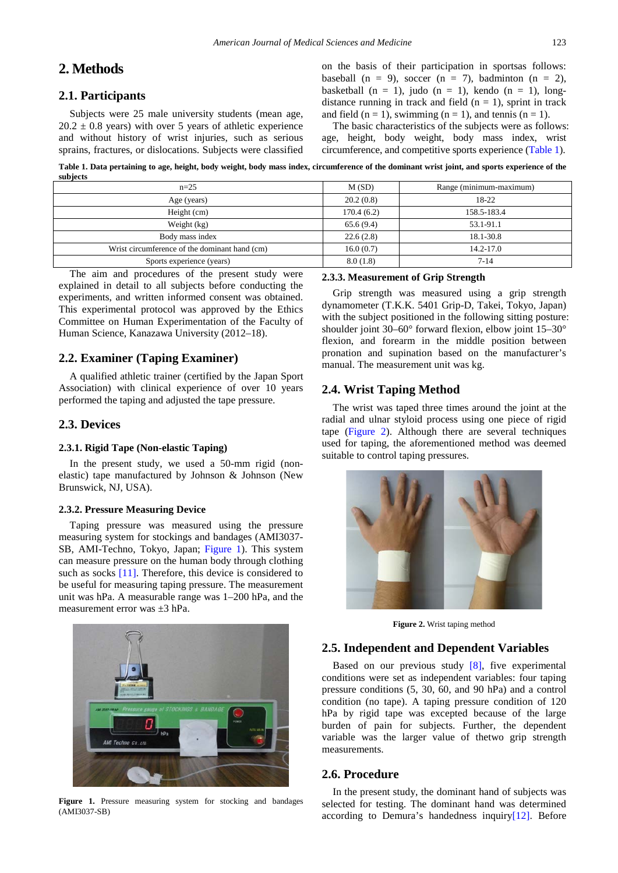# **2. Methods**

## **2.1. Participants**

Subjects were 25 male university students (mean age,  $20.2 \pm 0.8$  years) with over 5 years of athletic experience and without history of wrist injuries, such as serious sprains, fractures, or dislocations. Subjects were classified on the basis of their participation in sportsas follows: baseball (n = 9), soccer (n = 7), badminton (n = 2), basketball  $(n = 1)$ , judo  $(n = 1)$ , kendo  $(n = 1)$ , longdistance running in track and field  $(n = 1)$ , sprint in track and field  $(n = 1)$ , swimming  $(n = 1)$ , and tennis  $(n = 1)$ .

The basic characteristics of the subjects were as follows: age, height, body weight, body mass index, wrist circumference, and competitive sports experience [\(Table 1\)](#page-1-0).

**Table 1. Data pertaining to age, height, body weight, body mass index, circumference of the dominant wrist joint, and sports experience of the subjects**

<span id="page-1-0"></span>

| $-$                                           |            |                         |
|-----------------------------------------------|------------|-------------------------|
| $n=25$                                        | M(SD)      | Range (minimum-maximum) |
| Age (years)                                   | 20.2(0.8)  | 18-22                   |
| Height (cm)                                   | 170.4(6.2) | 158.5-183.4             |
| Weight (kg)                                   | 65.6(9.4)  | 53.1-91.1               |
| Body mass index                               | 22.6(2.8)  | 18.1-30.8               |
| Wrist circumference of the dominant hand (cm) | 16.0(0.7)  | $14.2 - 17.0$           |
| Sports experience (years)                     | 8.0(1.8)   | $7 - 14$                |
|                                               |            |                         |

The aim and procedures of the present study were explained in detail to all subjects before conducting the experiments, and written informed consent was obtained. This experimental protocol was approved by the Ethics Committee on Human Experimentation of the Faculty of Human Science, Kanazawa University (2012–18).

## **2.2. Examiner (Taping Examiner)**

A qualified athletic trainer (certified by the Japan Sport Association) with clinical experience of over 10 years performed the taping and adjusted the tape pressure.

## **2.3. Devices**

#### **2.3.1. Rigid Tape (Non-elastic Taping)**

In the present study, we used a 50-mm rigid (nonelastic) tape manufactured by Johnson & Johnson (New Brunswick, NJ, USA).

#### **2.3.2. Pressure Measuring Device**

Taping pressure was measured using the pressure measuring system for stockings and bandages (AMI3037- SB, AMI-Techno, Tokyo, Japan; [Figure 1\)](#page-1-1). This system can measure pressure on the human body through clothing such as socks [\[11\].](#page-3-10) Therefore, this device is considered to be useful for measuring taping pressure. The measurement unit was hPa. A measurable range was 1–200 hPa, and the measurement error was  $+3$  hPa.

<span id="page-1-1"></span>

**Figure 1.** Pressure measuring system for stocking and bandages (AMI3037-SB)

#### **2.3.3. Measurement of Grip Strength**

Grip strength was measured using a grip strength dynamometer (T.K.K. 5401 Grip-D, Takei, Tokyo, Japan) with the subject positioned in the following sitting posture: shoulder joint 30–60° forward flexion, elbow joint 15–30° flexion, and forearm in the middle position between pronation and supination based on the manufacturer's manual. The measurement unit was kg.

## **2.4. Wrist Taping Method**

The wrist was taped three times around the joint at the radial and ulnar styloid process using one piece of rigid tape [\(Figure 2\)](#page-1-2). Although there are several techniques used for taping, the aforementioned method was deemed suitable to control taping pressures.

<span id="page-1-2"></span>

**Figure 2.** Wrist taping method

#### **2.5. Independent and Dependent Variables**

Based on our previous study [\[8\],](#page-3-7) five experimental conditions were set as independent variables: four taping pressure conditions (5, 30, 60, and 90 hPa) and a control condition (no tape). A taping pressure condition of 120 hPa by rigid tape was excepted because of the large burden of pain for subjects. Further, the dependent variable was the larger value of thetwo grip strength measurements.

#### **2.6. Procedure**

In the present study, the dominant hand of subjects was selected for testing. The dominant hand was determined according to Demura's handedness inquir[y\[12\].](#page-3-11) Before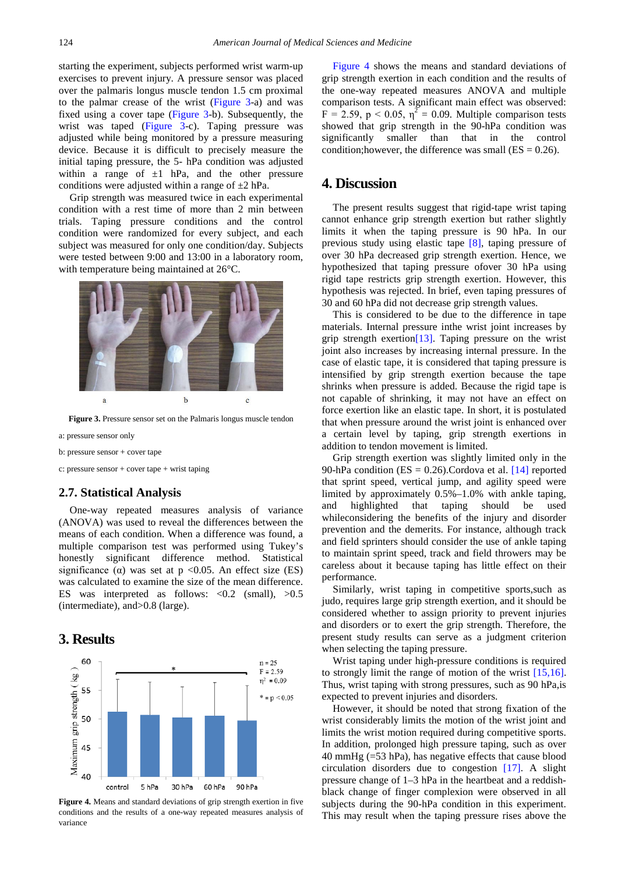starting the experiment, subjects performed wrist warm-up exercises to prevent injury. A pressure sensor was placed over the palmaris longus muscle tendon 1.5 cm proximal to the palmar crease of the wrist [\(Figure 3-](#page-2-0)a) and was fixed using a cover tape [\(Figure 3-](#page-2-0)b). Subsequently, the wrist was taped [\(Figure 3-](#page-2-0)c). Taping pressure was adjusted while being monitored by a pressure measuring device. Because it is difficult to precisely measure the initial taping pressure, the 5- hPa condition was adjusted within a range of  $\pm 1$  hPa, and the other pressure conditions were adjusted within a range of  $\pm 2$  hPa.

Grip strength was measured twice in each experimental condition with a rest time of more than 2 min between trials. Taping pressure conditions and the control condition were randomized for every subject, and each subject was measured for only one condition/day. Subjects were tested between 9:00 and 13:00 in a laboratory room, with temperature being maintained at 26°C.

<span id="page-2-0"></span>

**Figure 3.** Pressure sensor set on the Palmaris longus muscle tendon

a: pressure sensor only

b: pressure sensor + cover tape

c: pressure sensor + cover tape + wrist taping

#### **2.7. Statistical Analysis**

One-way repeated measures analysis of variance (ANOVA) was used to reveal the differences between the means of each condition. When a difference was found, a multiple comparison test was performed using Tukey's honestly significant difference method. Statistical significance ( $\alpha$ ) was set at p <0.05. An effect size (ES) was calculated to examine the size of the mean difference. ES was interpreted as follows:  $< 0.2$  (small),  $> 0.5$ (intermediate), and>0.8 (large).

#### **3. Results**

<span id="page-2-1"></span>

**Figure 4.** Means and standard deviations of grip strength exertion in five conditions and the results of a one-way repeated measures analysis of variance

[Figure 4](#page-2-1) shows the means and standard deviations of grip strength exertion in each condition and the results of the one-way repeated measures ANOVA and multiple comparison tests. A significant main effect was observed:  $F = 2.59$ ,  $p < 0.05$ ,  $\eta^2 = 0.09$ . Multiple comparison tests showed that grip strength in the 90-hPa condition was significantly smaller than that in the control condition; however, the difference was small ( $ES = 0.26$ ).

## **4. Discussion**

The present results suggest that rigid-tape wrist taping cannot enhance grip strength exertion but rather slightly limits it when the taping pressure is 90 hPa. In our previous study using elastic tape [\[8\],](#page-3-7) taping pressure of over 30 hPa decreased grip strength exertion. Hence, we hypothesized that taping pressure ofover 30 hPa using rigid tape restricts grip strength exertion. However, this hypothesis was rejected. In brief, even taping pressures of 30 and 60 hPa did not decrease grip strength values.

This is considered to be due to the difference in tape materials. Internal pressure inthe wrist joint increases by grip strength exertion<sup>[13]</sup>. Taping pressure on the wrist joint also increases by increasing internal pressure. In the case of elastic tape, it is considered that taping pressure is intensified by grip strength exertion because the tape shrinks when pressure is added. Because the rigid tape is not capable of shrinking, it may not have an effect on force exertion like an elastic tape. In short, it is postulated that when pressure around the wrist joint is enhanced over a certain level by taping, grip strength exertions in addition to tendon movement is limited.

Grip strength exertion was slightly limited only in the 90-hPa condition ( $ES = 0.26$ ). Cordova et al. [\[14\]](#page-3-13) reported that sprint speed, vertical jump, and agility speed were limited by approximately 0.5%–1.0% with ankle taping, and highlighted that taping should be used whileconsidering the benefits of the injury and disorder prevention and the demerits. For instance, although track and field sprinters should consider the use of ankle taping to maintain sprint speed, track and field throwers may be careless about it because taping has little effect on their performance.

Similarly, wrist taping in competitive sports,such as judo, requires large grip strength exertion, and it should be considered whether to assign priority to prevent injuries and disorders or to exert the grip strength. Therefore, the present study results can serve as a judgment criterion when selecting the taping pressure.

Wrist taping under high-pressure conditions is required to strongly limit the range of motion of the wrist [\[15,16\].](#page-3-14) Thus, wrist taping with strong pressures, such as 90 hPa,is expected to prevent injuries and disorders.

However, it should be noted that strong fixation of the wrist considerably limits the motion of the wrist joint and limits the wrist motion required during competitive sports. In addition, prolonged high pressure taping, such as over 40 mmHg (=53 hPa), has negative effects that cause blood circulation disorders due to congestion [\[17\].](#page-3-15) A slight pressure change of 1–3 hPa in the heartbeat and a reddishblack change of finger complexion were observed in all subjects during the 90-hPa condition in this experiment. This may result when the taping pressure rises above the